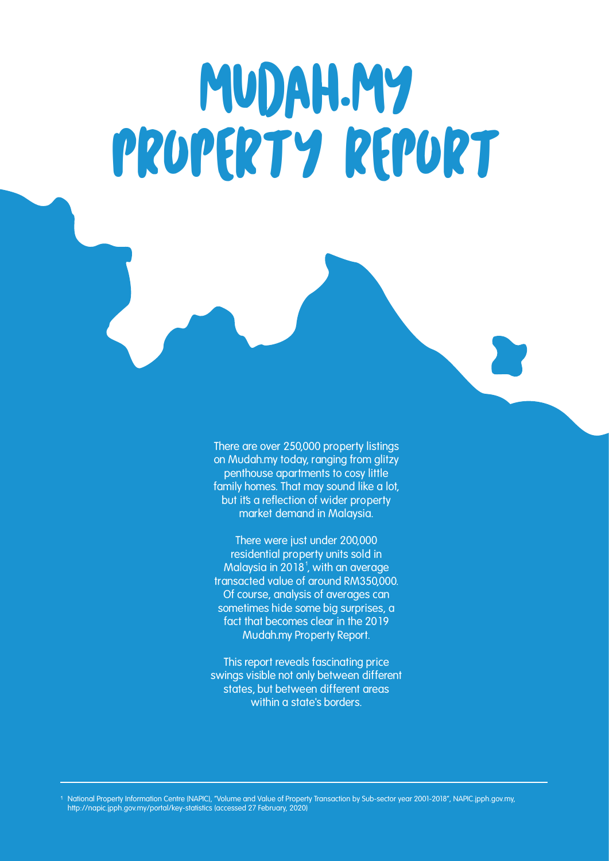# MUDAH.MY PROPERTY REPORT

**There are over 250,000 property listings on Mudah.my today, ranging from glitzy penthouse apartments to cosy little family homes. That may sound like a lot, but it's a reflection of wider property market demand in Malaysia.**

**There were just under 200,000 residential property units sold in Malaysia in 2018 , with an average transacted value of around RM350,000. Of course, analysis of averages can sometimes hide some big surprises, a fact that becomes clear in the 2019 Mudah.my Property Report.**

**This report reveals fascinating price swings visible not only between different states, but between different areas within a state's borders.**

National Property Information Centre (NAPIC), "Volume and Value of Property Transaction by Sub-sector year 2001-2018", NAPIC.jpph.gov.my, http://napic.jpph.gov.my/portal/key-statistics (accessed 27 February, 2020)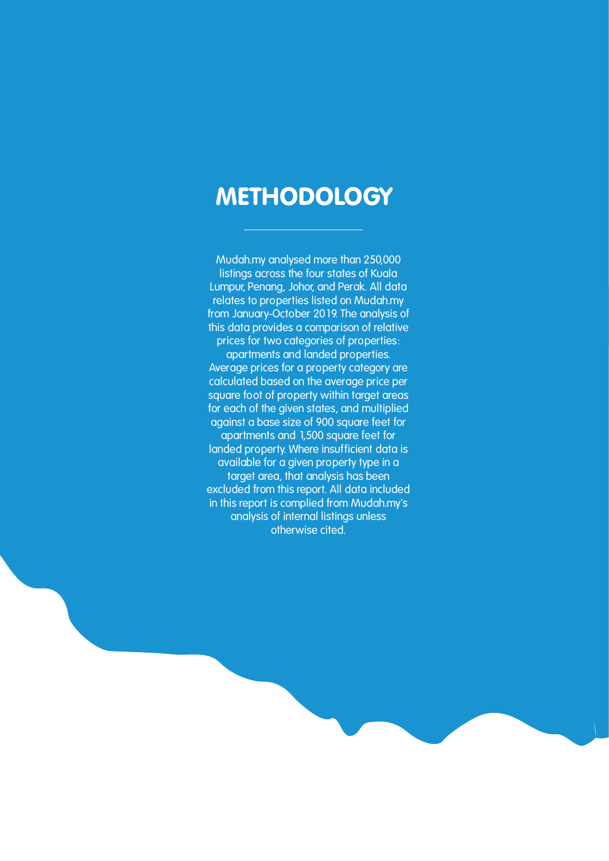### **METHODOLOGY**

**Mudah.my analysed more than 250,000 listings across the four states of Kuala Lumpur, Penang, Johor, and Perak. All data relates to properties listed on Mudah.my from January-October 2019. The analysis of this data provides a comparison of relative prices for two categories of properties:** 

**apartments and landed properties. Average prices for a property category are calculated based on the average price per square foot of property within target areas for each of the given states, and multiplied against a base size of 900 square feet for apartments and 1,500 square feet for landed property. Where insufficient data is available for a given property type in a target area, that analysis has been excluded from this report. All data included in this report is complied from Mudah.my's analysis of internal listings unless otherwise cited.**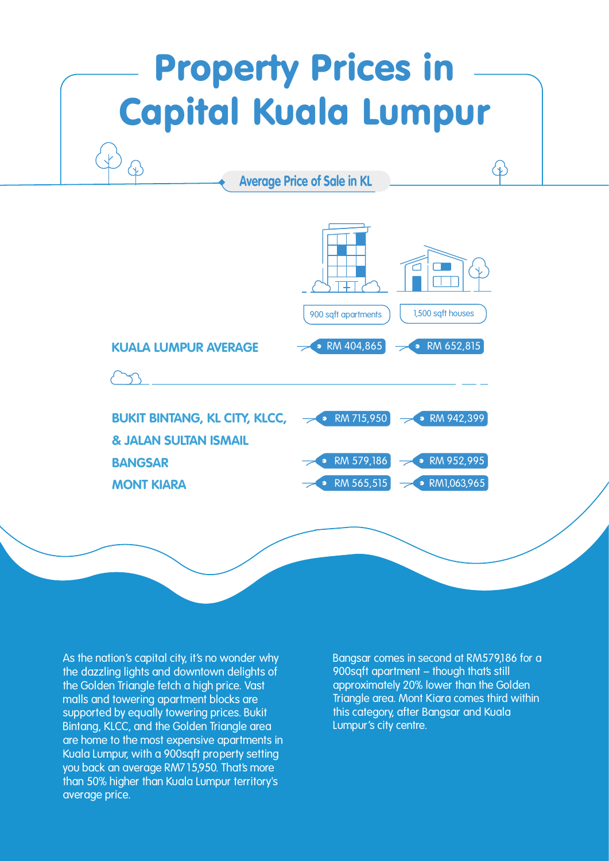## Property Prices in Capital Kuala Lumpur

**Average Price of Sale in KL**



**As the nation's capital city, it's no wonder why the dazzling lights and downtown delights of the Golden Triangle fetch a high price. Vast malls and towering apartment blocks are supported by equally towering prices. Bukit Bintang, KLCC, and the Golden Triangle area are home to the most expensive apartments in Kuala Lumpur, with a 900sqft property setting you back an average RM715,950. That's more than 50% higher than Kuala Lumpur territory's average price.**

**Bangsar comes in second at RM579,186 for a**  900sqft apartment – though that's still **approximately 20% lower than the Golden Triangle area. Mont Kiara comes third within this category, after Bangsar and Kuala Lumpur's city centre.**

 $\langle 1 \rangle$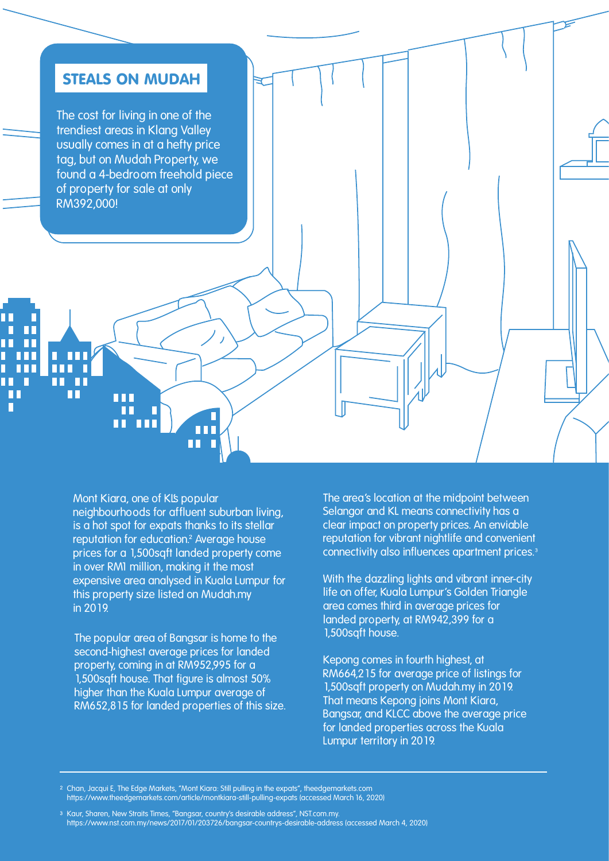

**Mont Kiara, one of KL's popular neighbourhoods for affluent suburban living, is a hot spot for expats thanks to its stellar**  reputation for education.<sup>2</sup> Average house **prices for a 1,500sqft landed property come in over RM1 million, making it the most expensive area analysed in Kuala Lumpur for this property size listed on Mudah.my in 2019.** 

**The popular area of Bangsar is home to the second-highest average prices for landed property, coming in at RM952,995 for a 1,500sqft house. That figure is almost 50% higher than the Kuala Lumpur average of RM652,815 for landed properties of this size.** **The area's location at the midpoint between Selangor and KL means connectivity has a clear impact on property prices. An enviable reputation for vibrant nightlife and convenient connectivity also influences apartment prices.**

**With the dazzling lights and vibrant inner-city life on offer, Kuala Lumpur's Golden Triangle area comes third in average prices for landed property, at RM942,399 for a 1,500sqft house.** 

**Kepong comes in fourth highest, at RM664,215 for average price of listings for 1,500sqft property on Mudah.my in 2019. That means Kepong joins Mont Kiara, Bangsar, and KLCC above the average price for landed properties across the Kuala Lumpur territory in 2019.**

<sup>2</sup> Chan, Jacqui E, The Edge Markets, "Mont Kiara: Still pulling in the expats", theedgemarkets.com https://www.theedgemarkets.com/article/montkiara-still-pulling-expats (accessed March 16, 2020)

<sup>3</sup> Kaur, Sharen, New Straits Times, "Bangsar, country's desirable address", NST.com.my. https://www.nst.com.my/news/2017/01/203726/bangsar-countrys-desirable-address (accessed March 4, 2020)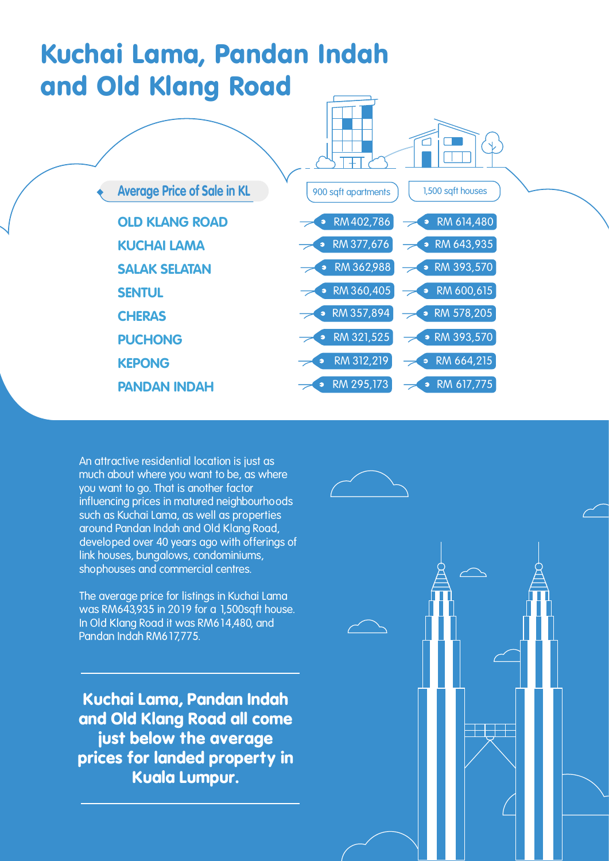## Kuchai Lama, Pandan Indah and Old Klang Road



**An attractive residential location is just as much about where you want to be, as where you want to go. That is another factor influencing prices in matured neighbourhoods such as Kuchai Lama, as well as properties around Pandan Indah and Old Klang Road, developed over 40 years ago with offerings of link houses, bungalows, condominiums, shophouses and commercial centres.** 

**The average price for listings in Kuchai Lama was RM643,935 in 2019 for a 1,500sqft house. In Old Klang Road it was RM614,480, and Pandan Indah RM617,775.**

**Kuchai Lama, Pandan Indah and Old Klang Road all come just below the average prices for landed property in Kuala Lumpur.** 

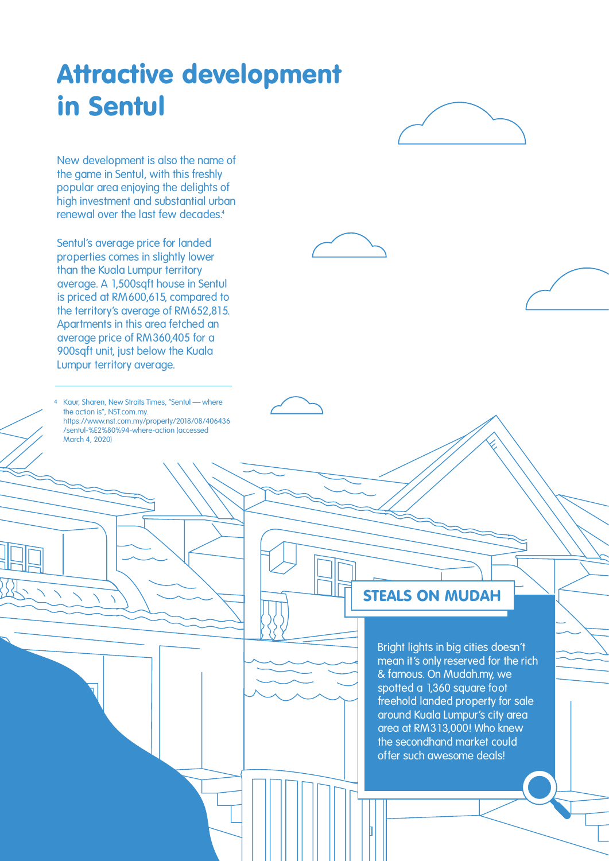## Attractive development in Sentul

**New development is also the name of the game in Sentul, with this freshly popular area enjoying the delights of high investment and substantial urban renewal over the last few decades.** 

**Sentul's average price for landed properties comes in slightly lower than the Kuala Lumpur territory average. A 1,500sqft house in Sentul is priced at RM600,615, compared to the territory's average of RM652,815. Apartments in this area fetched an average price of RM360,405 for a 900sqft unit, just below the Kuala Lumpur territory average.**

Kaur, Sharen, New Straits Times, "Sentul — where the action is", NST.com.my. https://www.nst.com.my/property/2018/08/406436 /sentul-%E2%80%94-where-action (accessed March 4, 2020)

#### STEALS ON MUDAH

**Bright lights in big cities doesn't mean it's only reserved for the rich & famous. On Mudah.my, we spotted a 1,360 square foot freehold landed property for sale around Kuala Lumpur's city area area at RM313,000! Who knew the secondhand market could offer such awesome deals!**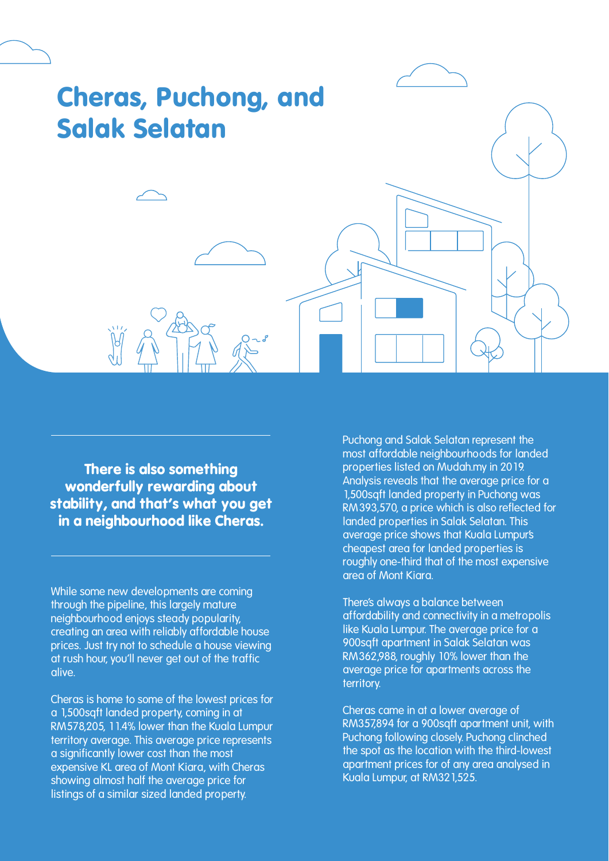# Cheras, Puchong, and Salak Selatan

**There is also something wonderfully rewarding about stability, and that's what you get in a neighbourhood like Cheras.**

**While some new developments are coming through the pipeline, this largely mature neighbourhood enjoys steady popularity, creating an area with reliably affordable house prices. Just try not to schedule a house viewing at rush hour, you'll never get out of the traffic alive.** 

**Cheras is home to some of the lowest prices for a 1,500sqft landed property, coming in at RM578,205, 11.4% lower than the Kuala Lumpur territory average. This average price represents a significantly lower cost than the most expensive KL area of Mont Kiara, with Cheras showing almost half the average price for listings of a similar sized landed property.**

**Puchong and Salak Selatan represent the most affordable neighbourhoods for landed properties listed on Mudah.my in 2019. Analysis reveals that the average price for a 1,500sqft landed property in Puchong was RM393,570, a price which is also reflected for landed properties in Salak Selatan. This average price shows that Kuala Lumpur's cheapest area for landed properties is roughly one-third that of the most expensive area of Mont Kiara.**

**There's always a balance between affordability and connectivity in a metropolis like Kuala Lumpur. The average price for a 900sqft apartment in Salak Selatan was RM362,988, roughly 10% lower than the average price for apartments across the territory.** 

**Cheras came in at a lower average of RM357,894 for a 900sqft apartment unit, with Puchong following closely. Puchong clinched the spot as the location with the third-lowest apartment prices for of any area analysed in Kuala Lumpur, at RM321,525.**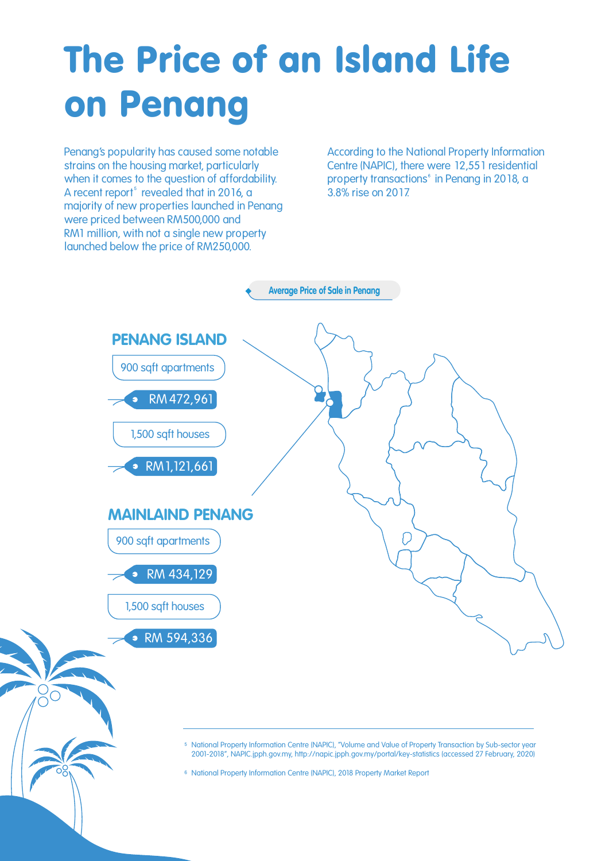## The Price of an Island Life on Penang

**Penang's popularity has caused some notable strains on the housing market, particularly when it comes to the question of affordability.**  A recent report<sup>5</sup> revealed that in 2016, a **majority of new properties launched in Penang were priced between RM500,000 and RM1 million, with not a single new property launched below the price of RM250,000.** 

**According to the National Property Information Centre (NAPIC), there were 12,551 residential**  property transactions<sup>6</sup> in Penang in 2018, a **3.8% rise on 2017.** 



<sup>5</sup> National Property Information Centre (NAPIC), "Volume and Value of Property Transaction by Sub-sector year 2001-2018", NAPIC.jpph.gov.my, http://napic.jpph.gov.my/portal/key-statistics (accessed 27 February, 2020)

<sup>6</sup> National Property Information Centre (NAPIC), 2018 Property Market Report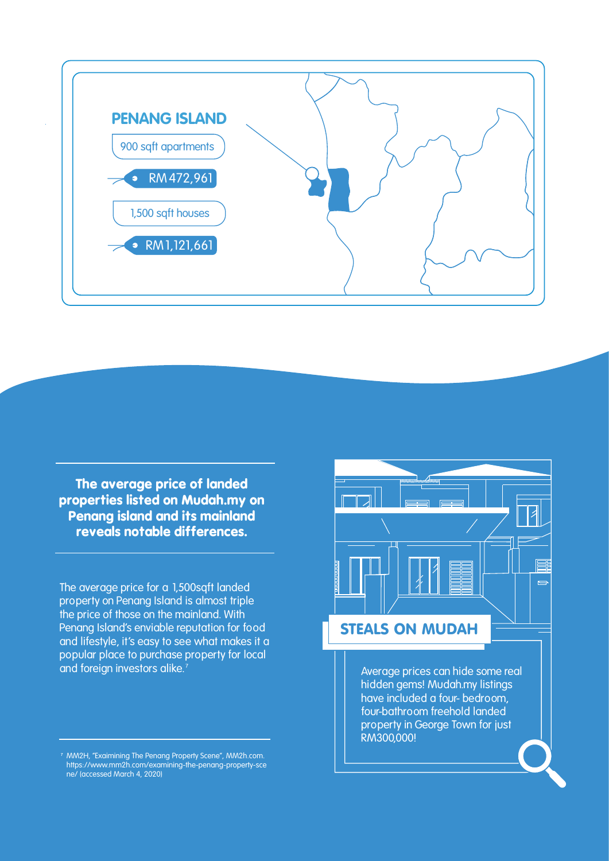

**The average price of landed properties listed on Mudah.my on Penang island and its mainland reveals notable differences.**

**The average price for a 1,500sqft landed property on Penang Island is almost triple the price of those on the mainland. With Penang Island's enviable reputation for food and lifestyle, it's easy to see what makes it a popular place to purchase property for local and foreign investors alike.** 



**hidden gems! Mudah.my listings have included a four- bedroom, four-bathroom freehold landed property in George Town for just RM300,000!**

<sup>&</sup>lt;sup>7</sup> MM2H, "Exaimining The Penang Property Scene", MM2h.com. https://www.mm2h.com/examining-the-penang-property-sce ne/ (accessed March 4, 2020)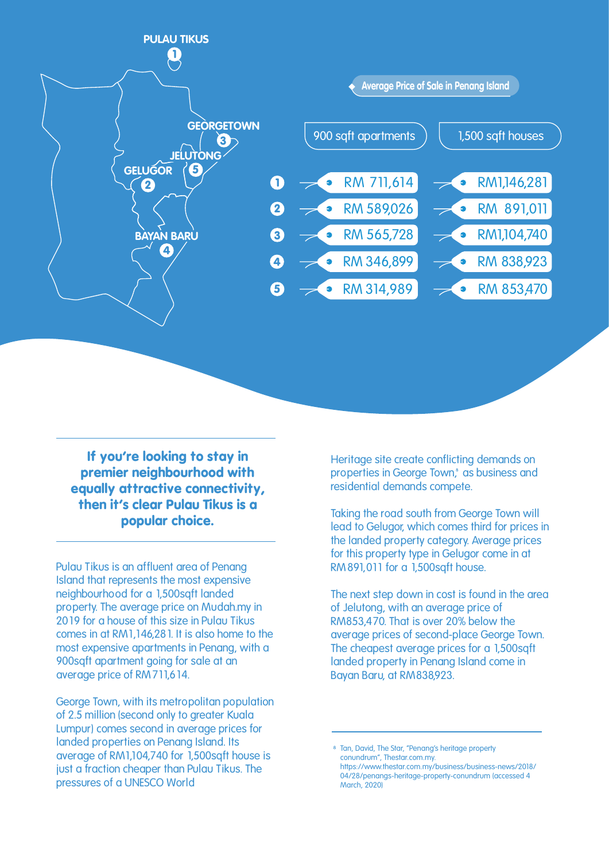

**If you're looking to stay in premier neighbourhood with equally attractive connectivity, then it's clear Pulau Tikus is a popular choice.**

**Pulau Tikus is an affluent area of Penang Island that represents the most expensive neighbourhood for a 1,500sqft landed property. The average price on Mudah.my in 2019 for a house of this size in Pulau Tikus comes in at RM1,146,281. It is also home to the most expensive apartments in Penang, with a 900sqft apartment going for sale at an average price of RM711,614.**

**George Town, with its metropolitan population of 2.5 million (second only to greater Kuala Lumpur) comes second in average prices for landed properties on Penang Island. Its average of RM1,104,740 for 1,500sqft house is just a fraction cheaper than Pulau Tikus. The pressures of a UNESCO World** 

**Heritage site create conflicting demands on**  properties in George Town,<sup>8</sup> as business and **residential demands compete.**

**Taking the road south from George Town will lead to Gelugor, which comes third for prices in the landed property category. Average prices for this property type in Gelugor come in at RM891,011 for a 1,500sqft house.**

**The next step down in cost is found in the area of Jelutong, with an average price of RM853,470. That is over 20% below the average prices of second-place George Town. The cheapest average prices for a 1,500sqft landed property in Penang Island come in Bayan Baru, at RM838,923.** 

<sup>8</sup> Tan, David, The Star, "Penang's heritage property conundrum", Thestar.com.my. https://www.thestar.com.my/business/business-news/2018/ 04/28/penangs-heritage-property-conundrum (accessed 4 March, 2020)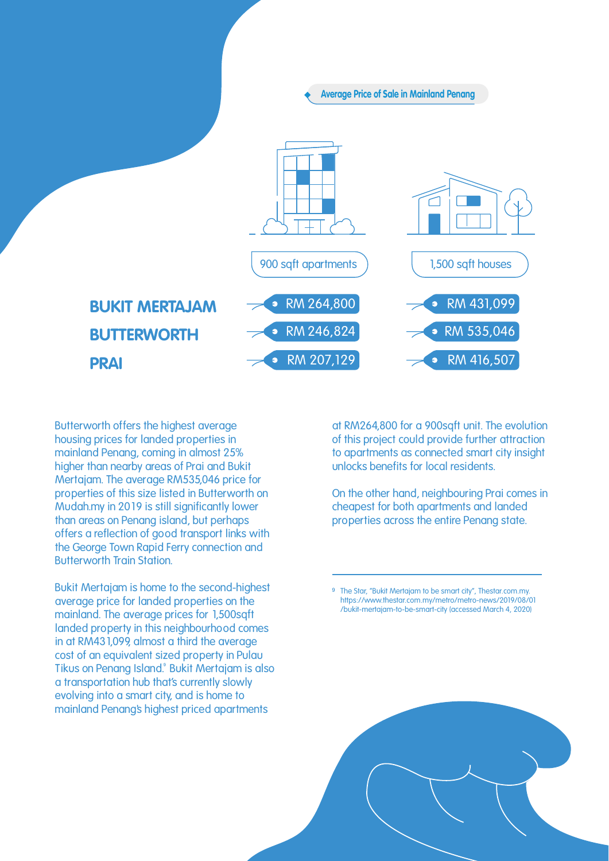

**Butterworth offers the highest average housing prices for landed properties in mainland Penang, coming in almost 25% higher than nearby areas of Prai and Bukit Mertajam. The average RM535,046 price for properties of this size listed in Butterworth on Mudah.my in 2019 is still significantly lower than areas on Penang island, but perhaps offers a reflection of good transport links with the George Town Rapid Ferry connection and Butterworth Train Station.**

**Bukit Mertajam is home to the second-highest average price for landed properties on the mainland. The average prices for 1,500sqft landed property in this neighbourhood comes in at RM431,099, almost a third the average cost of an equivalent sized property in Pulau Tikus on Penang Island. Bukit Mertajam is also a transportation hub that's currently slowly evolving into a smart city, and is home to mainland Penang's highest priced apartments** 

**at RM264,800 for a 900sqft unit. The evolution of this project could provide further attraction to apartments as connected smart city insight unlocks benefits for local residents.**

**On the other hand, neighbouring Prai comes in cheapest for both apartments and landed properties across the entire Penang state.** 

The Star, "Bukit Mertajam to be smart city", Thestar.com.my. https://www.thestar.com.my/metro/metro-news/2019/08/01 /bukit-mertajam-to-be-smart-city (accessed March 4, 2020)

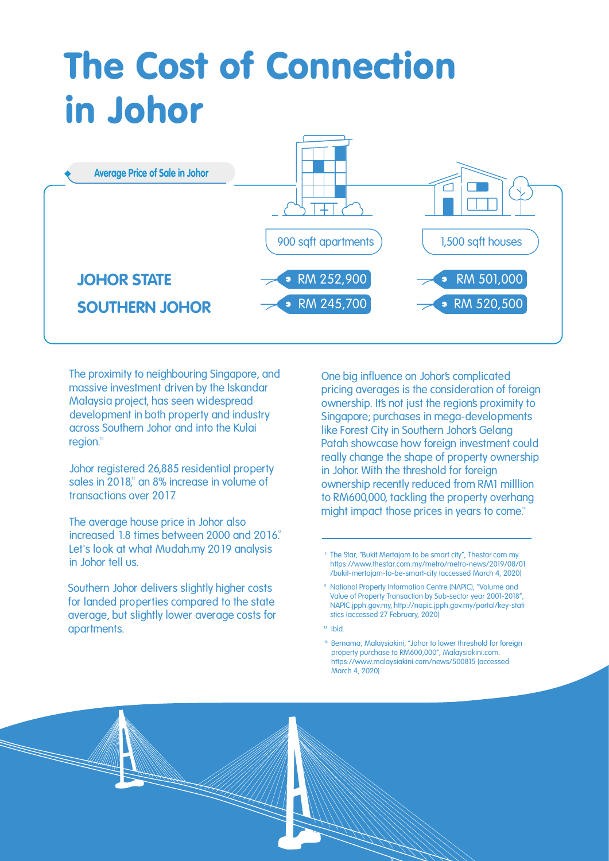## The Cost of Connection in Johor



**The proximity to neighbouring Singapore, and massive investment driven by the Iskandar Malaysia project, has seen widespread development in both property and industry across Southern Johor and into the Kulai**  region.<sup>10</sup>

**Johor registered 26,885 residential property**  sales in 2018,<sup>*n*</sup> an 8% increase in volume of **transactions over 2017.** 

**The average house price in Johor also increased 1.8 times between 2000 and 2016. Let's look at what Mudah.my 2019 analysis in Johor tell us.** 

**Southern Johor delivers slightly higher costs for landed properties compared to the state average, but slightly lower average costs for apartments.**

**One big influence on Johor's complicated pricing averages is the consideration of foreign ownership. It's not just the region's proximity to Singapore; purchases in mega-developments like Forest City in Southern Johor's Gelang Patah showcase how foreign investment could really change the shape of property ownership in Johor. With the threshold for foreign ownership recently reduced from RM1 milllion to RM600,000, tackling the property overhang might impact those prices in years to come.** 

<sup>&</sup>lt;sup>10</sup> The Star, "Bukit Mertajam to be smart city", Thestar.com.my. https://www.thestar.com.my/metro/metro-news/2019/08/01 /bukit-mertajam-to-be-smart-city (accessed March 4, 2020)

National Property Information Centre (NAPIC), "Volume and Value of Property Transaction by Sub-sector year 2001-2018", NAPIC.jpph.gov.my, http://napic.jpph.gov.my/portal/key-stati stics (accessed 27 February, 2020)

 $12$  Ibid.

<sup>&</sup>lt;sup>13</sup> Bernama, Malaysiakini, "Johor to lower threshold for foreign property purchase to RM600,000", Malaysiakini.com. https://www.malaysiakini.com/news/500815 (accessed March 4, 2020)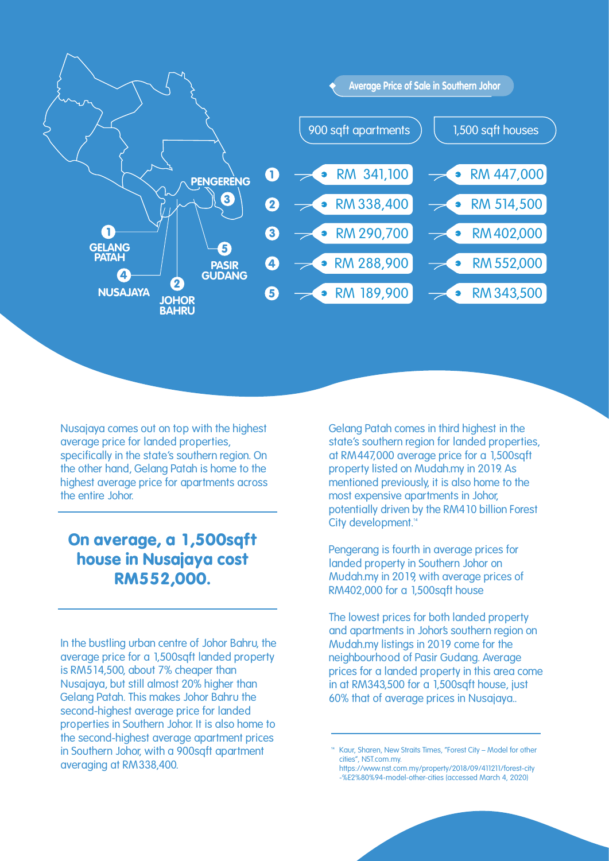

**Nusajaya comes out on top with the highest average price for landed properties, specifically in the state's southern region. On the other hand, Gelang Patah is home to the highest average price for apartments across the entire Johor.**

### **On average, a 1,500sqft house in Nusajaya cost RM552,000.**

**In the bustling urban centre of Johor Bahru, the average price for a 1,500sqft landed property is RM514,500, about 7% cheaper than Nusajaya, but still almost 20% higher than Gelang Patah. This makes Johor Bahru the second-highest average price for landed properties in Southern Johor. It is also home to the second-highest average apartment prices in Southern Johor, with a 900sqft apartment averaging at RM338,400.**

**Gelang Patah comes in third highest in the state's southern region for landed properties, at RM447,000 average price for a 1,500sqft property listed on Mudah.my in 2019. As mentioned previously, it is also home to the most expensive apartments in Johor, potentially driven by the RM410 billion Forest City development.**

**Pengerang is fourth in average prices for landed property in Southern Johor on Mudah.my in 2019, with average prices of RM402,000 for a 1,500sqft house**

**The lowest prices for both landed property and apartments in Johor's southern region on Mudah.my listings in 2019 come for the neighbourhood of Pasir Gudang. Average prices for a landed property in this area come in at RM343,500 for a 1,500sqft house, just 60% that of average prices in Nusajaya..**

Kaur, Sharen, New Straits Times, "Forest City - Model for other cities", NST.com.my.

https://www.nst.com.my/property/2018/09/411211/forest-city -%E2%80%94-model-other-cities (accessed March 4, 2020)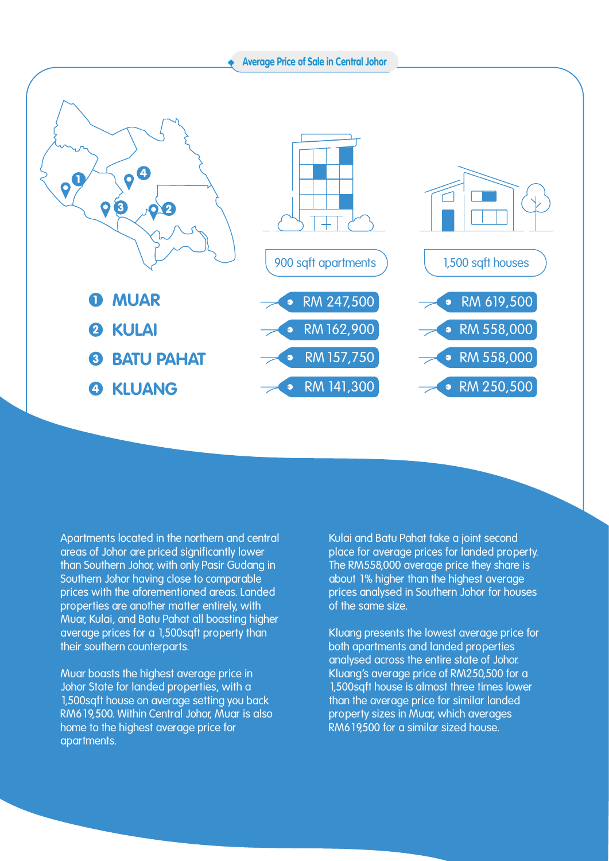

**Apartments located in the northern and central areas of Johor are priced significantly lower than Southern Johor, with only Pasir Gudang in Southern Johor having close to comparable prices with the aforementioned areas. Landed properties are another matter entirely, with Muar, Kulai, and Batu Pahat all boasting higher average prices for a 1,500sqft property than their southern counterparts.** 

**Muar boasts the highest average price in Johor State for landed properties, with a 1,500sqft house on average setting you back RM619,500. Within Central Johor, Muar is also home to the highest average price for apartments.**

**Kulai and Batu Pahat take a joint second place for average prices for landed property. The RM558,000 average price they share is about 1% higher than the highest average prices analysed in Southern Johor for houses of the same size.**

**Kluang presents the lowest average price for both apartments and landed properties analysed across the entire state of Johor. Kluang's average price of RM250,500 for a 1,500sqft house is almost three times lower than the average price for similar landed property sizes in Muar, which averages RM619,500 for a similar sized house.**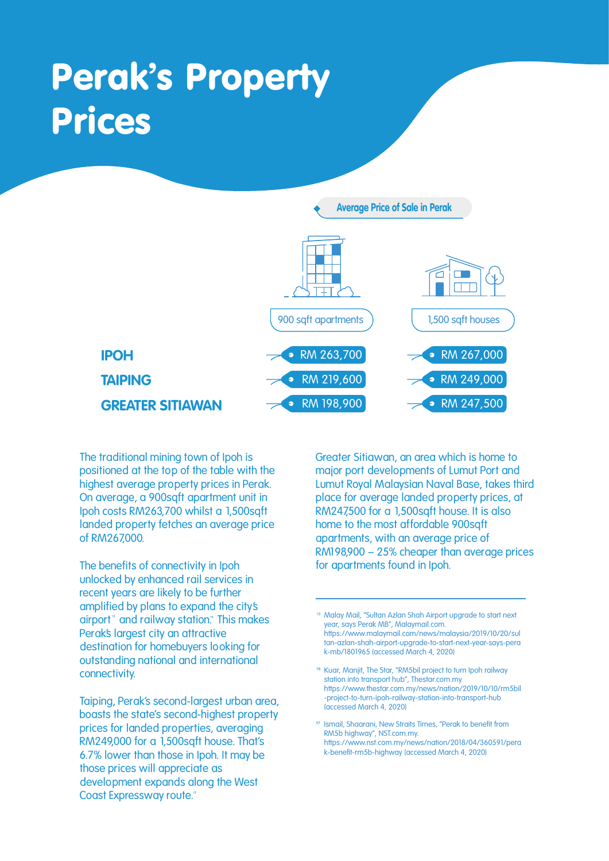## Perak's Property Prices



**The traditional mining town of Ipoh is positioned at the top of the table with the highest average property prices in Perak. On average, a 900sqft apartment unit in Ipoh costs RM263,700 whilst a 1,500sqft landed property fetches an average price of RM267,000.**

**The benefits of connectivity in Ipoh unlocked by enhanced rail services in recent years are likely to be further amplified by plans to expand the city's**  airport<sup>\*</sup> and railway station.<sup>\*</sup> This makes **Perak's largest city an attractive destination for homebuyers looking for outstanding national and international connectivity.**

**Taiping, Perak's second-largest urban area, boasts the state's second-highest property prices for landed properties, averaging RM249,000 for a 1,500sqft house. That's 6.7% lower than those in Ipoh. It may be those prices will appreciate as development expands along the West Coast Expressway route.**

**Greater Sitiawan, an area which is home to major port developments of Lumut Port and Lumut Royal Malaysian Naval Base, takes third place for average landed property prices, at RM247,500 for a 1,500sqft house. It is also home to the most affordable 900sqft apartments, with an average price of RM198,900 – 25% cheaper than average prices for apartments found in Ipoh.**

<sup>&</sup>lt;sup>15</sup> Malay Mail, "Sultan Azlan Shah Airport upgrade to start next year, says Perak MB", Malaymail.com. https://www.malaymail.com/news/malaysia/2019/10/20/sul tan-azlan-shah-airport-upgrade-to-start-next-year-says-pera k-mb/1801965 (accessed March 4, 2020)

<sup>&</sup>lt;sup>16</sup> Kuar, Manjit, The Star, "RM5bil project to turn Ipoh railway station into transport hub", Thestar.com.my. https://www.thestar.com.my/news/nation/2019/10/10/rm5bil -project-to-turn-ipoh-railway-station-into-transport-hub (accessed March 4, 2020)

<sup>&</sup>lt;sup>17</sup> Ismail, Shaarani, New Straits Times, "Perak to benefit from RM5b highway", NST.com.my. https://www.nst.com.my/news/nation/2018/04/360591/pera k-benefit-rm5b-highway (accessed March 4, 2020)